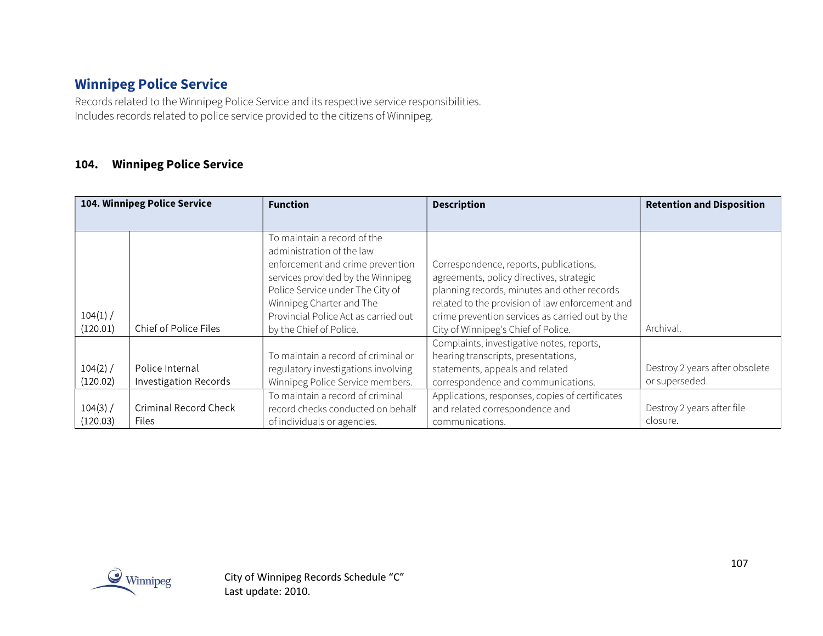## Winnipeg Police Service

Records related to the Winnipeg Police Service and its respective service responsibilities. Includes records related to police service provided to the citizens of Winnipeg.

#### 104. Winnipeg Police Service

| 104. Winnipeg Police Service |                                                 | <b>Function</b>                                                                                                                                                                                                                                                      | <b>Description</b>                                                                                                                                                                                                                                                             | <b>Retention and Disposition</b>                 |
|------------------------------|-------------------------------------------------|----------------------------------------------------------------------------------------------------------------------------------------------------------------------------------------------------------------------------------------------------------------------|--------------------------------------------------------------------------------------------------------------------------------------------------------------------------------------------------------------------------------------------------------------------------------|--------------------------------------------------|
|                              |                                                 |                                                                                                                                                                                                                                                                      |                                                                                                                                                                                                                                                                                |                                                  |
| 104(1) /<br>(120.01)         | Chief of Police Files                           | To maintain a record of the<br>administration of the law<br>enforcement and crime prevention<br>services provided by the Winnipeg<br>Police Service under The City of<br>Winnipeg Charter and The<br>Provincial Police Act as carried out<br>by the Chief of Police. | Correspondence, reports, publications,<br>agreements, policy directives, strategic<br>planning records, minutes and other records<br>related to the provision of law enforcement and<br>crime prevention services as carried out by the<br>City of Winnipeg's Chief of Police. | Archival.                                        |
| $104(2)$ /<br>(120.02)       | Police Internal<br><b>Investigation Records</b> | To maintain a record of criminal or<br>regulatory investigations involving<br>Winnipeg Police Service members.                                                                                                                                                       | Complaints, investigative notes, reports,<br>hearing transcripts, presentations,<br>statements, appeals and related<br>correspondence and communications.                                                                                                                      | Destroy 2 years after obsolete<br>or superseded. |
| $104(3)$ /<br>(120.03)       | <b>Criminal Record Check</b><br><b>Files</b>    | To maintain a record of criminal<br>record checks conducted on behalf<br>of individuals or agencies.                                                                                                                                                                 | Applications, responses, copies of certificates<br>and related correspondence and<br>communications.                                                                                                                                                                           | Destroy 2 years after file<br>closure.           |

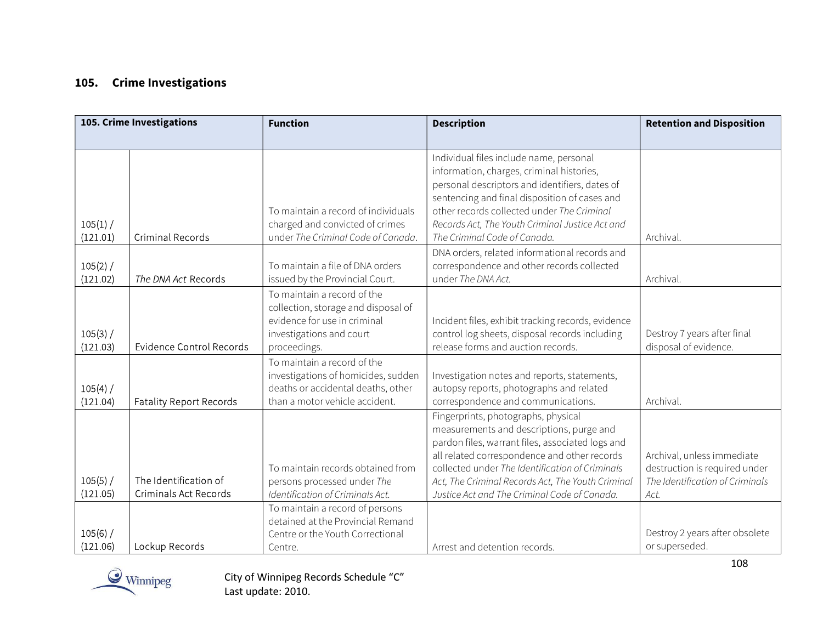## 105. Crime Investigations

|                        | 105. Crime Investigations                             | <b>Function</b>                                                                                                                                | <b>Description</b>                                                                                                                                                                                                                                                                                                                          | <b>Retention and Disposition</b>                                                                       |
|------------------------|-------------------------------------------------------|------------------------------------------------------------------------------------------------------------------------------------------------|---------------------------------------------------------------------------------------------------------------------------------------------------------------------------------------------------------------------------------------------------------------------------------------------------------------------------------------------|--------------------------------------------------------------------------------------------------------|
|                        |                                                       |                                                                                                                                                |                                                                                                                                                                                                                                                                                                                                             |                                                                                                        |
| 105(1) /<br>(121.01)   | <b>Criminal Records</b>                               | To maintain a record of individuals<br>charged and convicted of crimes<br>under The Criminal Code of Canada.                                   | Individual files include name, personal<br>information, charges, criminal histories,<br>personal descriptors and identifiers, dates of<br>sentencing and final disposition of cases and<br>other records collected under The Criminal<br>Records Act, The Youth Criminal Justice Act and<br>The Criminal Code of Canada.                    | Archival.                                                                                              |
| 105(2) /<br>(121.02)   | The DNA Act Records                                   | To maintain a file of DNA orders<br>issued by the Provincial Court.                                                                            | DNA orders, related informational records and<br>correspondence and other records collected<br>under The DNA Act.                                                                                                                                                                                                                           | Archival.                                                                                              |
| 105(3) /<br>(121.03)   | <b>Evidence Control Records</b>                       | To maintain a record of the<br>collection, storage and disposal of<br>evidence for use in criminal<br>investigations and court<br>proceedings. | Incident files, exhibit tracking records, evidence<br>control log sheets, disposal records including<br>release forms and auction records.                                                                                                                                                                                                  | Destroy 7 years after final<br>disposal of evidence.                                                   |
| 105(4) /<br>(121.04)   | <b>Fatality Report Records</b>                        | To maintain a record of the<br>investigations of homicides, sudden<br>deaths or accidental deaths, other<br>than a motor vehicle accident.     | Investigation notes and reports, statements,<br>autopsy reports, photographs and related<br>correspondence and communications.                                                                                                                                                                                                              | Archival.                                                                                              |
| $105(5)$ /<br>(121.05) | The Identification of<br><b>Criminals Act Records</b> | To maintain records obtained from<br>persons processed under The<br>Identification of Criminals Act.                                           | Fingerprints, photographs, physical<br>measurements and descriptions, purge and<br>pardon files, warrant files, associated logs and<br>all related correspondence and other records<br>collected under The Identification of Criminals<br>Act, The Criminal Records Act, The Youth Criminal<br>Justice Act and The Criminal Code of Canada. | Archival, unless immediate<br>destruction is required under<br>The Identification of Criminals<br>Act. |
| 105(6) /<br>(121.06)   | Lockup Records                                        | To maintain a record of persons<br>detained at the Provincial Remand<br>Centre or the Youth Correctional<br>Centre.                            | Arrest and detention records.                                                                                                                                                                                                                                                                                                               | Destroy 2 years after obsolete<br>or superseded.                                                       |

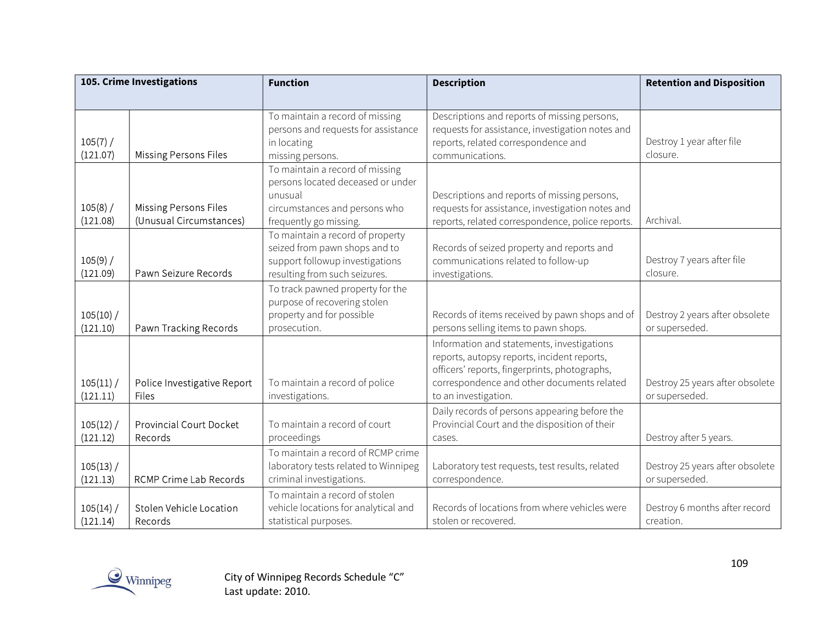| 105. Crime Investigations |                                                         | <b>Function</b>                                                                                                                            | <b>Description</b>                                                                                                                                                                                               | <b>Retention and Disposition</b>                  |
|---------------------------|---------------------------------------------------------|--------------------------------------------------------------------------------------------------------------------------------------------|------------------------------------------------------------------------------------------------------------------------------------------------------------------------------------------------------------------|---------------------------------------------------|
|                           |                                                         |                                                                                                                                            |                                                                                                                                                                                                                  |                                                   |
| 105(7) /<br>(121.07)      | <b>Missing Persons Files</b>                            | To maintain a record of missing<br>persons and requests for assistance<br>in locating<br>missing persons.                                  | Descriptions and reports of missing persons,<br>requests for assistance, investigation notes and<br>reports, related correspondence and<br>communications.                                                       | Destroy 1 year after file<br>closure.             |
| 105(8) /<br>(121.08)      | <b>Missing Persons Files</b><br>(Unusual Circumstances) | To maintain a record of missing<br>persons located deceased or under<br>unusual<br>circumstances and persons who<br>frequently go missing. | Descriptions and reports of missing persons,<br>requests for assistance, investigation notes and<br>reports, related correspondence, police reports.                                                             | Archival.                                         |
| 105(9) /<br>(121.09)      | Pawn Seizure Records                                    | To maintain a record of property<br>seized from pawn shops and to<br>support followup investigations<br>resulting from such seizures.      | Records of seized property and reports and<br>communications related to follow-up<br>investigations.                                                                                                             | Destroy 7 years after file<br>closure.            |
| $105(10)$ /<br>(121.10)   | Pawn Tracking Records                                   | To track pawned property for the<br>purpose of recovering stolen<br>property and for possible<br>prosecution.                              | Records of items received by pawn shops and of<br>persons selling items to pawn shops.                                                                                                                           | Destroy 2 years after obsolete<br>or superseded.  |
| 105(11)<br>(121.11)       | Police Investigative Report<br>Files                    | To maintain a record of police<br>investigations.                                                                                          | Information and statements, investigations<br>reports, autopsy reports, incident reports,<br>officers' reports, fingerprints, photographs,<br>correspondence and other documents related<br>to an investigation. | Destroy 25 years after obsolete<br>or superseded. |
| $105(12)$ /<br>(121.12)   | <b>Provincial Court Docket</b><br>Records               | To maintain a record of court<br>proceedings                                                                                               | Daily records of persons appearing before the<br>Provincial Court and the disposition of their<br>cases.                                                                                                         | Destroy after 5 years.                            |
| 105(13) /<br>(121.13)     | RCMP Crime Lab Records                                  | To maintain a record of RCMP crime<br>laboratory tests related to Winnipeg<br>criminal investigations.                                     | Laboratory test requests, test results, related<br>correspondence.                                                                                                                                               | Destroy 25 years after obsolete<br>or superseded. |
| 105(14)<br>(121.14)       | Stolen Vehicle Location<br>Records                      | To maintain a record of stolen<br>vehicle locations for analytical and<br>statistical purposes.                                            | Records of locations from where vehicles were<br>stolen or recovered.                                                                                                                                            | Destroy 6 months after record<br>creation.        |

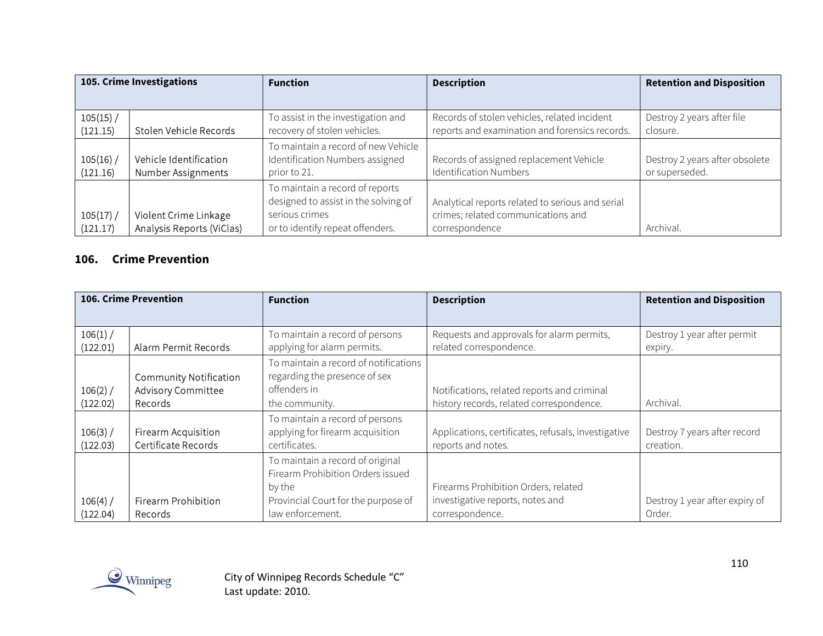| 105. Crime Investigations |                                                    | <b>Function</b>                                                                                                               | <b>Description</b>                                                                                       | <b>Retention and Disposition</b>                 |
|---------------------------|----------------------------------------------------|-------------------------------------------------------------------------------------------------------------------------------|----------------------------------------------------------------------------------------------------------|--------------------------------------------------|
|                           |                                                    |                                                                                                                               |                                                                                                          |                                                  |
| $105(15)$ /<br>(121.15)   | Stolen Vehicle Records                             | To assist in the investigation and<br>recovery of stolen vehicles.                                                            | Records of stolen vehicles, related incident<br>reports and examination and forensics records.           | Destroy 2 years after file<br>closure.           |
| 105(16)<br>(121.16)       | Vehicle Identification<br>Number Assignments       | To maintain a record of new Vehicle<br>Identification Numbers assigned<br>prior to 21.                                        | Records of assigned replacement Vehicle<br><b>Identification Numbers</b>                                 | Destroy 2 years after obsolete<br>or superseded. |
| $105(17)$ /<br>(121.17)   | Violent Crime Linkage<br>Analysis Reports (ViClas) | To maintain a record of reports<br>designed to assist in the solving of<br>serious crimes<br>or to identify repeat offenders. | Analytical reports related to serious and serial<br>crimes; related communications and<br>correspondence | Archival.                                        |

#### 106. Crime Prevention

| 106. Crime Prevention  |                                                                       | <b>Function</b>                                                                                                                            | <b>Description</b>                                                                          | <b>Retention and Disposition</b>          |
|------------------------|-----------------------------------------------------------------------|--------------------------------------------------------------------------------------------------------------------------------------------|---------------------------------------------------------------------------------------------|-------------------------------------------|
|                        |                                                                       |                                                                                                                                            |                                                                                             |                                           |
| $106(1)$ /<br>(122.01) | Alarm Permit Records                                                  | To maintain a record of persons<br>applying for alarm permits.                                                                             | Requests and approvals for alarm permits,<br>related correspondence.                        | Destroy 1 year after permit<br>expiry.    |
| $106(2)$ /<br>(122.02) | <b>Community Notification</b><br><b>Advisory Committee</b><br>Records | To maintain a record of notifications<br>regarding the presence of sex<br>offenders in<br>the community.                                   | Notifications, related reports and criminal<br>history records, related correspondence.     | Archival.                                 |
| $106(3)$ /<br>(122.03) | Firearm Acquisition<br>Certificate Records                            | To maintain a record of persons<br>applying for firearm acquisition<br>certificates.                                                       | Applications, certificates, refusals, investigative<br>reports and notes.                   | Destroy 7 years after record<br>creation. |
| $106(4)$ /<br>(122.04) | Firearm Prohibition<br><b>Records</b>                                 | To maintain a record of original<br>Firearm Prohibition Orders issued<br>by the<br>Provincial Court for the purpose of<br>law enforcement. | Firearms Prohibition Orders, related<br>investigative reports, notes and<br>correspondence. | Destroy 1 year after expiry of<br>Order.  |

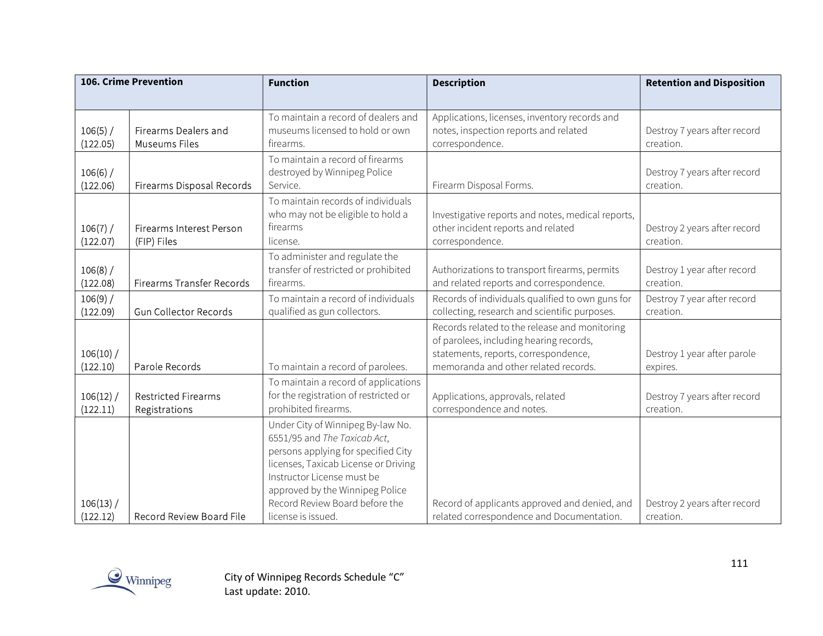| <b>106. Crime Prevention</b> |                                                | <b>Function</b>                                                                                                                                                                                                                                                           | <b>Description</b>                                                                                                                                                       | <b>Retention and Disposition</b>          |
|------------------------------|------------------------------------------------|---------------------------------------------------------------------------------------------------------------------------------------------------------------------------------------------------------------------------------------------------------------------------|--------------------------------------------------------------------------------------------------------------------------------------------------------------------------|-------------------------------------------|
|                              |                                                |                                                                                                                                                                                                                                                                           |                                                                                                                                                                          |                                           |
| 106(5) /<br>(122.05)         | Firearms Dealers and<br><b>Museums Files</b>   | To maintain a record of dealers and<br>museums licensed to hold or own<br>firearms.                                                                                                                                                                                       | Applications, licenses, inventory records and<br>notes, inspection reports and related<br>correspondence.                                                                | Destroy 7 years after record<br>creation. |
| 106(6) /<br>(122.06)         | Firearms Disposal Records                      | To maintain a record of firearms<br>destroyed by Winnipeg Police<br>Service.                                                                                                                                                                                              | Firearm Disposal Forms.                                                                                                                                                  | Destroy 7 years after record<br>creation. |
| 106(7) /<br>(122.07)         | <b>Firearms Interest Person</b><br>(FIP) Files | To maintain records of individuals<br>who may not be eligible to hold a<br>firearms<br>license.                                                                                                                                                                           | Investigative reports and notes, medical reports,<br>other incident reports and related<br>correspondence.                                                               | Destroy 2 years after record<br>creation. |
| 106(8) /<br>(122.08)         | Firearms Transfer Records                      | To administer and regulate the<br>transfer of restricted or prohibited<br>firearms.                                                                                                                                                                                       | Authorizations to transport firearms, permits<br>and related reports and correspondence.                                                                                 | Destroy 1 year after record<br>creation.  |
| 106(9) /<br>(122.09)         | <b>Gun Collector Records</b>                   | To maintain a record of individuals<br>qualified as gun collectors.                                                                                                                                                                                                       | Records of individuals qualified to own guns for<br>collecting, research and scientific purposes.                                                                        | Destroy 7 year after record<br>creation.  |
| $106(10)$ /<br>(122.10)      | Parole Records                                 | To maintain a record of parolees.                                                                                                                                                                                                                                         | Records related to the release and monitoring<br>of parolees, including hearing records,<br>statements, reports, correspondence,<br>memoranda and other related records. | Destroy 1 year after parole<br>expires.   |
| $106(12)$ /<br>(122.11)      | <b>Restricted Firearms</b><br>Registrations    | To maintain a record of applications<br>for the registration of restricted or<br>prohibited firearms.                                                                                                                                                                     | Applications, approvals, related<br>correspondence and notes.                                                                                                            | Destroy 7 years after record<br>creation. |
| 106(13) /<br>(122.12)        | Record Review Board File                       | Under City of Winnipeg By-law No.<br>6551/95 and The Taxicab Act,<br>persons applying for specified City<br>licenses, Taxicab License or Driving<br>Instructor License must be<br>approved by the Winnipeg Police<br>Record Review Board before the<br>license is issued. | Record of applicants approved and denied, and<br>related correspondence and Documentation.                                                                               | Destroy 2 years after record<br>creation. |

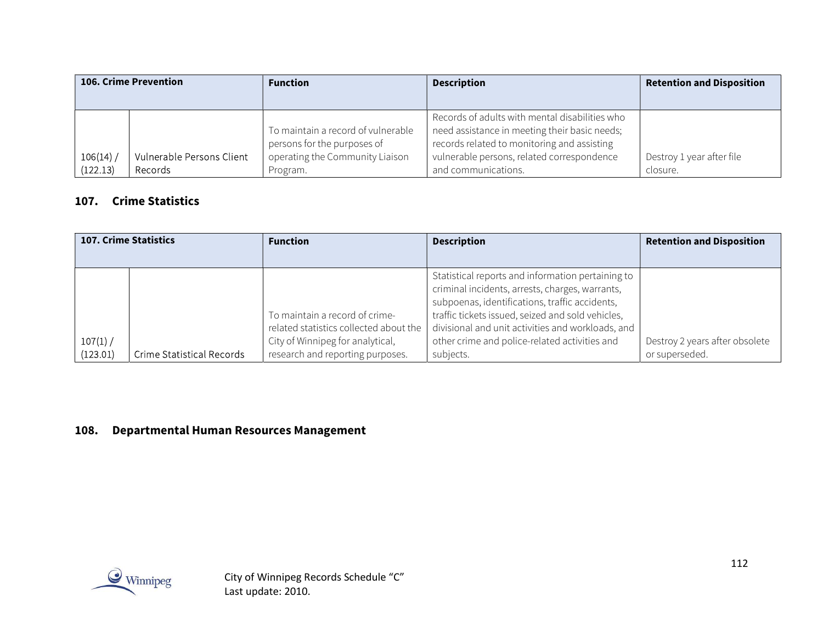| <b>106. Crime Prevention</b> |                                      | <b>Function</b>                                                                                                  | <b>Description</b>                                                                                                                                                                                                  | <b>Retention and Disposition</b>      |
|------------------------------|--------------------------------------|------------------------------------------------------------------------------------------------------------------|---------------------------------------------------------------------------------------------------------------------------------------------------------------------------------------------------------------------|---------------------------------------|
|                              |                                      |                                                                                                                  |                                                                                                                                                                                                                     |                                       |
| 106(14)<br>(122.13)          | Vulnerable Persons Client<br>Records | To maintain a record of vulnerable<br>persons for the purposes of<br>operating the Community Liaison<br>Program. | Records of adults with mental disabilities who<br>need assistance in meeting their basic needs;<br>records related to monitoring and assisting<br>vulnerable persons, related correspondence<br>and communications. | Destroy 1 year after file<br>closure. |

#### 107. Crime Statistics

|          | <b>107. Crime Statistics</b> | <b>Function</b>                        | <b>Description</b>                                | <b>Retention and Disposition</b> |
|----------|------------------------------|----------------------------------------|---------------------------------------------------|----------------------------------|
|          |                              |                                        |                                                   |                                  |
|          |                              |                                        | Statistical reports and information pertaining to |                                  |
|          |                              |                                        | criminal incidents, arrests, charges, warrants,   |                                  |
|          |                              |                                        | subpoenas, identifications, traffic accidents,    |                                  |
|          |                              | To maintain a record of crime-         | traffic tickets issued, seized and sold vehicles, |                                  |
|          |                              | related statistics collected about the | divisional and unit activities and workloads, and |                                  |
| 107(1) / |                              | City of Winnipeg for analytical,       | other crime and police-related activities and     | Destroy 2 years after obsolete   |
| (123.01) | Crime Statistical Records    | research and reporting purposes.       | subjects.                                         | or superseded.                   |

## 108. Departmental Human Resources Management

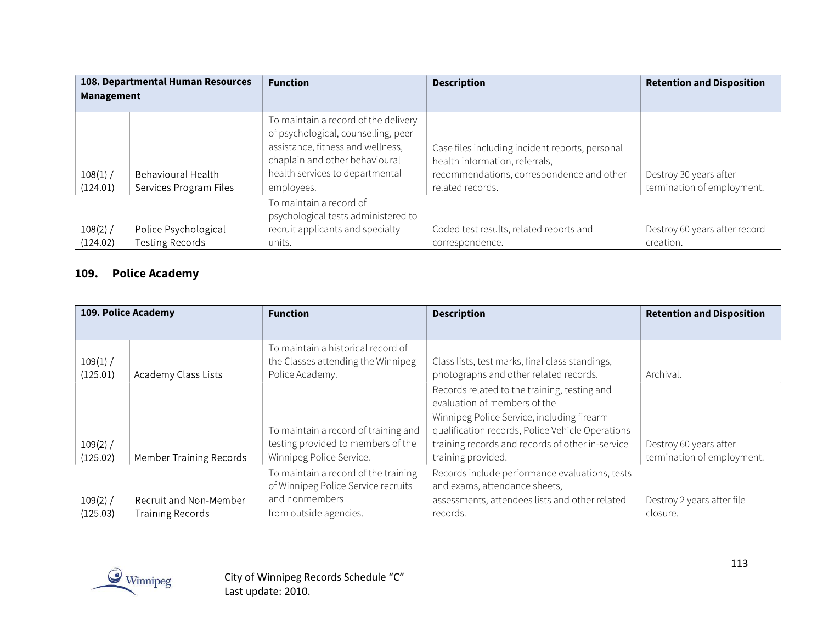| 108. Departmental Human Resources<br>Management |                                                | <b>Function</b>                                                                                                                                                                                     | <b>Description</b>                                                                                                                                 | <b>Retention and Disposition</b>                     |
|-------------------------------------------------|------------------------------------------------|-----------------------------------------------------------------------------------------------------------------------------------------------------------------------------------------------------|----------------------------------------------------------------------------------------------------------------------------------------------------|------------------------------------------------------|
| 108(1) /<br>(124.01)                            | Behavioural Health<br>Services Program Files   | To maintain a record of the delivery<br>of psychological, counselling, peer<br>assistance, fitness and wellness,<br>chaplain and other behavioural<br>health services to departmental<br>employees. | Case files including incident reports, personal<br>health information, referrals,<br>recommendations, correspondence and other<br>related records. | Destroy 30 years after<br>termination of employment. |
| 108(2) /<br>(124.02)                            | Police Psychological<br><b>Testing Records</b> | To maintain a record of<br>psychological tests administered to<br>recruit applicants and specialty<br>units.                                                                                        | Coded test results, related reports and<br>correspondence.                                                                                         | Destroy 60 years after record<br>creation.           |

## 109. Police Academy

| 109. Police Academy  |                                                   | <b>Function</b>                                                                                        | <b>Description</b>                                                                                                                                                                                                                                       | <b>Retention and Disposition</b>                     |
|----------------------|---------------------------------------------------|--------------------------------------------------------------------------------------------------------|----------------------------------------------------------------------------------------------------------------------------------------------------------------------------------------------------------------------------------------------------------|------------------------------------------------------|
|                      |                                                   | To maintain a historical record of                                                                     |                                                                                                                                                                                                                                                          |                                                      |
| 109(1) /<br>(125.01) | Academy Class Lists                               | the Classes attending the Winnipeg<br>Police Academy.                                                  | Class lists, test marks, final class standings,<br>photographs and other related records.                                                                                                                                                                | Archival.                                            |
| 109(2) /<br>(125.02) | Member Training Records                           | To maintain a record of training and<br>testing provided to members of the<br>Winnipeg Police Service. | Records related to the training, testing and<br>evaluation of members of the<br>Winnipeg Police Service, including firearm<br>qualification records, Police Vehicle Operations<br>training records and records of other in-service<br>training provided. | Destroy 60 years after<br>termination of employment. |
|                      |                                                   | To maintain a record of the training<br>of Winnipeg Police Service recruits                            | Records include performance evaluations, tests<br>and exams, attendance sheets,                                                                                                                                                                          |                                                      |
| 109(2) /<br>(125.03) | Recruit and Non-Member<br><b>Training Records</b> | and nonmembers<br>from outside agencies.                                                               | assessments, attendees lists and other related<br>records.                                                                                                                                                                                               | Destroy 2 years after file<br>closure.               |

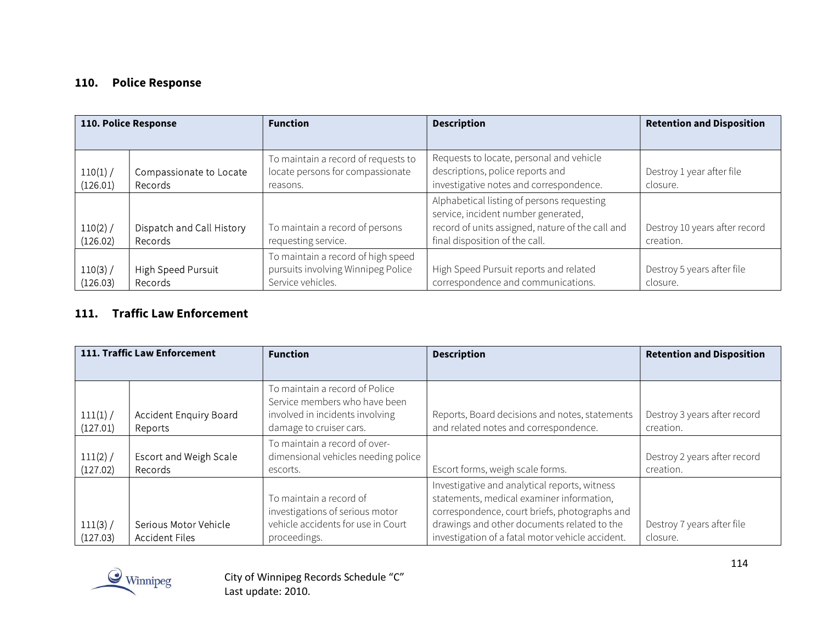# 110. Police Response

| 110. Police Response |                                      | <b>Function</b>                                                                               | <b>Description</b>                                                                                                                                                      | <b>Retention and Disposition</b>           |
|----------------------|--------------------------------------|-----------------------------------------------------------------------------------------------|-------------------------------------------------------------------------------------------------------------------------------------------------------------------------|--------------------------------------------|
|                      |                                      |                                                                                               |                                                                                                                                                                         |                                            |
| 110(1) /<br>(126.01) | Compassionate to Locate<br>Records   | To maintain a record of requests to<br>locate persons for compassionate<br>reasons.           | Requests to locate, personal and vehicle<br>descriptions, police reports and<br>investigative notes and correspondence.                                                 | Destroy 1 year after file<br>closure.      |
| 110(2) /<br>(126.02) | Dispatch and Call History<br>Records | To maintain a record of persons<br>requesting service.                                        | Alphabetical listing of persons requesting<br>service, incident number generated,<br>record of units assigned, nature of the call and<br>final disposition of the call. | Destroy 10 years after record<br>creation. |
| 110(3) /<br>(126.03) | High Speed Pursuit<br><b>Records</b> | To maintain a record of high speed<br>pursuits involving Winnipeg Police<br>Service vehicles. | High Speed Pursuit reports and related<br>correspondence and communications.                                                                                            | Destroy 5 years after file<br>closure.     |

### 111. Traffic Law Enforcement

| 111. Traffic Law Enforcement |                                                | <b>Function</b>                                                                                                               | <b>Description</b>                                                                                                                                                                                                                             | <b>Retention and Disposition</b>          |
|------------------------------|------------------------------------------------|-------------------------------------------------------------------------------------------------------------------------------|------------------------------------------------------------------------------------------------------------------------------------------------------------------------------------------------------------------------------------------------|-------------------------------------------|
|                              |                                                |                                                                                                                               |                                                                                                                                                                                                                                                |                                           |
| 111(1) /<br>(127.01)         | Accident Enquiry Board<br>Reports              | To maintain a record of Police<br>Service members who have been<br>involved in incidents involving<br>damage to cruiser cars. | Reports, Board decisions and notes, statements<br>and related notes and correspondence.                                                                                                                                                        | Destroy 3 years after record<br>creation. |
|                              |                                                | To maintain a record of over-                                                                                                 |                                                                                                                                                                                                                                                |                                           |
| 111(2) /<br>(127.02)         | <b>Escort and Weigh Scale</b><br>Records       | dimensional vehicles needing police<br>escorts.                                                                               | Escort forms, weigh scale forms.                                                                                                                                                                                                               | Destroy 2 years after record<br>creation. |
| 111(3) /<br>(127.03)         | Serious Motor Vehicle<br><b>Accident Files</b> | To maintain a record of<br>investigations of serious motor<br>vehicle accidents for use in Court<br>proceedings.              | Investigative and analytical reports, witness<br>statements, medical examiner information,<br>correspondence, court briefs, photographs and<br>drawings and other documents related to the<br>investigation of a fatal motor vehicle accident. | Destroy 7 years after file<br>closure.    |